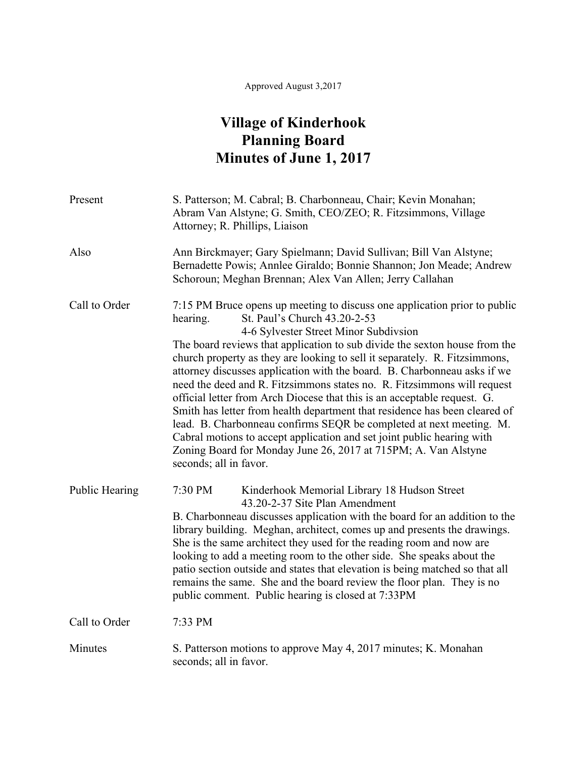## **Village of Kinderhook Planning Board Minutes of June 1, 2017**

| Present               | S. Patterson; M. Cabral; B. Charbonneau, Chair; Kevin Monahan;<br>Abram Van Alstyne; G. Smith, CEO/ZEO; R. Fitzsimmons, Village<br>Attorney; R. Phillips, Liaison                                                                                                                                                                                                                                                                                                                                                                                                                                                                                                                                                                                                                                                                                                                        |
|-----------------------|------------------------------------------------------------------------------------------------------------------------------------------------------------------------------------------------------------------------------------------------------------------------------------------------------------------------------------------------------------------------------------------------------------------------------------------------------------------------------------------------------------------------------------------------------------------------------------------------------------------------------------------------------------------------------------------------------------------------------------------------------------------------------------------------------------------------------------------------------------------------------------------|
| Also                  | Ann Birckmayer; Gary Spielmann; David Sullivan; Bill Van Alstyne;<br>Bernadette Powis; Annlee Giraldo; Bonnie Shannon; Jon Meade; Andrew<br>Schoroun; Meghan Brennan; Alex Van Allen; Jerry Callahan                                                                                                                                                                                                                                                                                                                                                                                                                                                                                                                                                                                                                                                                                     |
| Call to Order         | 7:15 PM Bruce opens up meeting to discuss one application prior to public<br>St. Paul's Church 43.20-2-53<br>hearing.<br>4-6 Sylvester Street Minor Subdivsion<br>The board reviews that application to sub divide the sexton house from the<br>church property as they are looking to sell it separately. R. Fitzsimmons,<br>attorney discusses application with the board. B. Charbonneau asks if we<br>need the deed and R. Fitzsimmons states no. R. Fitzsimmons will request<br>official letter from Arch Diocese that this is an acceptable request. G.<br>Smith has letter from health department that residence has been cleared of<br>lead. B. Charbonneau confirms SEQR be completed at next meeting. M.<br>Cabral motions to accept application and set joint public hearing with<br>Zoning Board for Monday June 26, 2017 at 715PM; A. Van Alstyne<br>seconds; all in favor. |
| <b>Public Hearing</b> | 7:30 PM<br>Kinderhook Memorial Library 18 Hudson Street<br>43.20-2-37 Site Plan Amendment<br>B. Charbonneau discusses application with the board for an addition to the<br>library building. Meghan, architect, comes up and presents the drawings.<br>She is the same architect they used for the reading room and now are<br>looking to add a meeting room to the other side. She speaks about the<br>patio section outside and states that elevation is being matched so that all<br>remains the same. She and the board review the floor plan. They is no<br>public comment. Public hearing is closed at 7:33PM                                                                                                                                                                                                                                                                      |
| Call to Order         | 7:33 PM                                                                                                                                                                                                                                                                                                                                                                                                                                                                                                                                                                                                                                                                                                                                                                                                                                                                                  |
| Minutes               | S. Patterson motions to approve May 4, 2017 minutes; K. Monahan<br>seconds; all in favor.                                                                                                                                                                                                                                                                                                                                                                                                                                                                                                                                                                                                                                                                                                                                                                                                |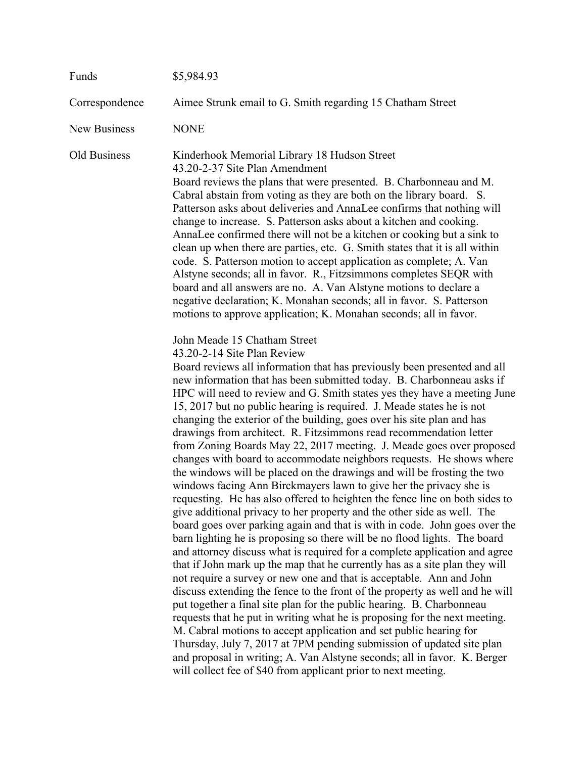| Funds               | \$5,984.93                                                                                                                                                                                                                                                                                                                                                                                                                                                                                                                                                                                                                                                                                                                                                                                                                                                                                                                                                                                                                                                                                                                                                                                                                                                                                                                                                                                                                                                                                                                                                                                                                                                                                                                                                                                                                                                                                                           |
|---------------------|----------------------------------------------------------------------------------------------------------------------------------------------------------------------------------------------------------------------------------------------------------------------------------------------------------------------------------------------------------------------------------------------------------------------------------------------------------------------------------------------------------------------------------------------------------------------------------------------------------------------------------------------------------------------------------------------------------------------------------------------------------------------------------------------------------------------------------------------------------------------------------------------------------------------------------------------------------------------------------------------------------------------------------------------------------------------------------------------------------------------------------------------------------------------------------------------------------------------------------------------------------------------------------------------------------------------------------------------------------------------------------------------------------------------------------------------------------------------------------------------------------------------------------------------------------------------------------------------------------------------------------------------------------------------------------------------------------------------------------------------------------------------------------------------------------------------------------------------------------------------------------------------------------------------|
| Correspondence      | Aimee Strunk email to G. Smith regarding 15 Chatham Street                                                                                                                                                                                                                                                                                                                                                                                                                                                                                                                                                                                                                                                                                                                                                                                                                                                                                                                                                                                                                                                                                                                                                                                                                                                                                                                                                                                                                                                                                                                                                                                                                                                                                                                                                                                                                                                           |
| <b>New Business</b> | <b>NONE</b>                                                                                                                                                                                                                                                                                                                                                                                                                                                                                                                                                                                                                                                                                                                                                                                                                                                                                                                                                                                                                                                                                                                                                                                                                                                                                                                                                                                                                                                                                                                                                                                                                                                                                                                                                                                                                                                                                                          |
| Old Business        | Kinderhook Memorial Library 18 Hudson Street<br>43.20-2-37 Site Plan Amendment<br>Board reviews the plans that were presented. B. Charbonneau and M.<br>Cabral abstain from voting as they are both on the library board. S.<br>Patterson asks about deliveries and AnnaLee confirms that nothing will<br>change to increase. S. Patterson asks about a kitchen and cooking.<br>AnnaLee confirmed there will not be a kitchen or cooking but a sink to<br>clean up when there are parties, etc. G. Smith states that it is all within<br>code. S. Patterson motion to accept application as complete; A. Van<br>Alstyne seconds; all in favor. R., Fitzsimmons completes SEQR with<br>board and all answers are no. A. Van Alstyne motions to declare a<br>negative declaration; K. Monahan seconds; all in favor. S. Patterson<br>motions to approve application; K. Monahan seconds; all in favor.                                                                                                                                                                                                                                                                                                                                                                                                                                                                                                                                                                                                                                                                                                                                                                                                                                                                                                                                                                                                                 |
|                     | John Meade 15 Chatham Street<br>43.20-2-14 Site Plan Review<br>Board reviews all information that has previously been presented and all<br>new information that has been submitted today. B. Charbonneau asks if<br>HPC will need to review and G. Smith states yes they have a meeting June<br>15, 2017 but no public hearing is required. J. Meade states he is not<br>changing the exterior of the building, goes over his site plan and has<br>drawings from architect. R. Fitzsimmons read recommendation letter<br>from Zoning Boards May 22, 2017 meeting. J. Meade goes over proposed<br>changes with board to accommodate neighbors requests. He shows where<br>the windows will be placed on the drawings and will be frosting the two<br>windows facing Ann Birckmayers lawn to give her the privacy she is<br>requesting. He has also offered to heighten the fence line on both sides to<br>give additional privacy to her property and the other side as well. The<br>board goes over parking again and that is with in code. John goes over the<br>barn lighting he is proposing so there will be no flood lights. The board<br>and attorney discuss what is required for a complete application and agree<br>that if John mark up the map that he currently has as a site plan they will<br>not require a survey or new one and that is acceptable. Ann and John<br>discuss extending the fence to the front of the property as well and he will<br>put together a final site plan for the public hearing. B. Charbonneau<br>requests that he put in writing what he is proposing for the next meeting.<br>M. Cabral motions to accept application and set public hearing for<br>Thursday, July 7, 2017 at 7PM pending submission of updated site plan<br>and proposal in writing; A. Van Alstyne seconds; all in favor. K. Berger<br>will collect fee of \$40 from applicant prior to next meeting. |